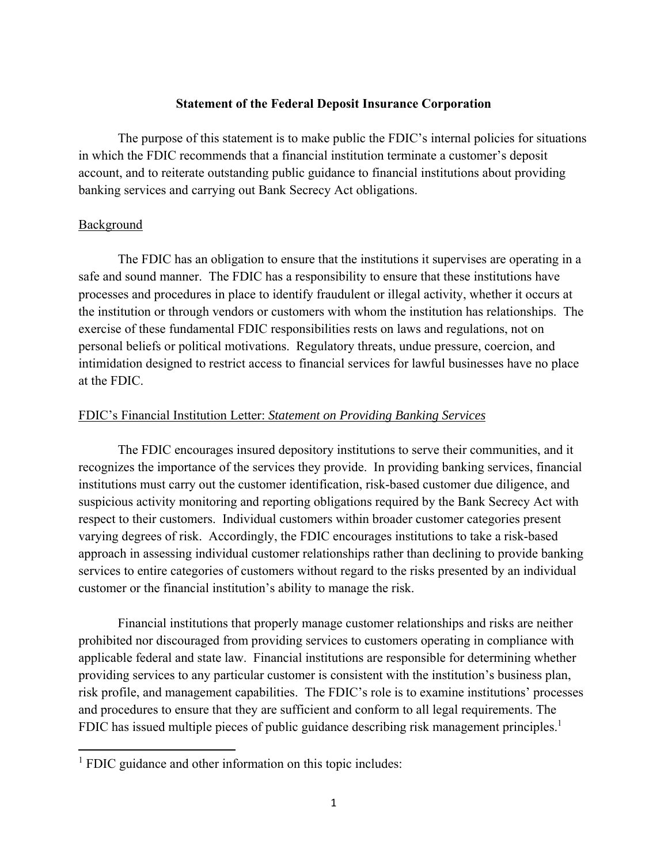## **Statement of the Federal Deposit Insurance Corporation**

The purpose of this statement is to make public the FDIC's internal policies for situations in which the FDIC recommends that a financial institution terminate a customer's deposit account, and to reiterate outstanding public guidance to financial institutions about providing banking services and carrying out Bank Secrecy Act obligations.

## Background

The FDIC has an obligation to ensure that the institutions it supervises are operating in a safe and sound manner. The FDIC has a responsibility to ensure that these institutions have processes and procedures in place to identify fraudulent or illegal activity, whether it occurs at the institution or through vendors or customers with whom the institution has relationships. The exercise of these fundamental FDIC responsibilities rests on laws and regulations, not on personal beliefs or political motivations. Regulatory threats, undue pressure, coercion, and intimidation designed to restrict access to financial services for lawful businesses have no place at the FDIC.

### FDIC's Financial Institution Letter: *Statement on Providing Banking Services*

The FDIC encourages insured depository institutions to serve their communities, and it recognizes the importance of the services they provide. In providing banking services, financial institutions must carry out the customer identification, risk-based customer due diligence, and suspicious activity monitoring and reporting obligations required by the Bank Secrecy Act with respect to their customers. Individual customers within broader customer categories present varying degrees of risk. Accordingly, the FDIC encourages institutions to take a risk-based approach in assessing individual customer relationships rather than declining to provide banking services to entire categories of customers without regard to the risks presented by an individual customer or the financial institution's ability to manage the risk.

Financial institutions that properly manage customer relationships and risks are neither prohibited nor discouraged from providing services to customers operating in compliance with applicable federal and state law. Financial institutions are responsible for determining whether providing services to any particular customer is consistent with the institution's business plan, risk profile, and management capabilities. The FDIC's role is to examine institutions' processes and procedures to ensure that they are sufficient and conform to all legal requirements. The FDIC has issued multiple pieces of public guidance describing risk management principles.<sup>1</sup>

<sup>&</sup>lt;sup>1</sup> FDIC guidance and other information on this topic includes: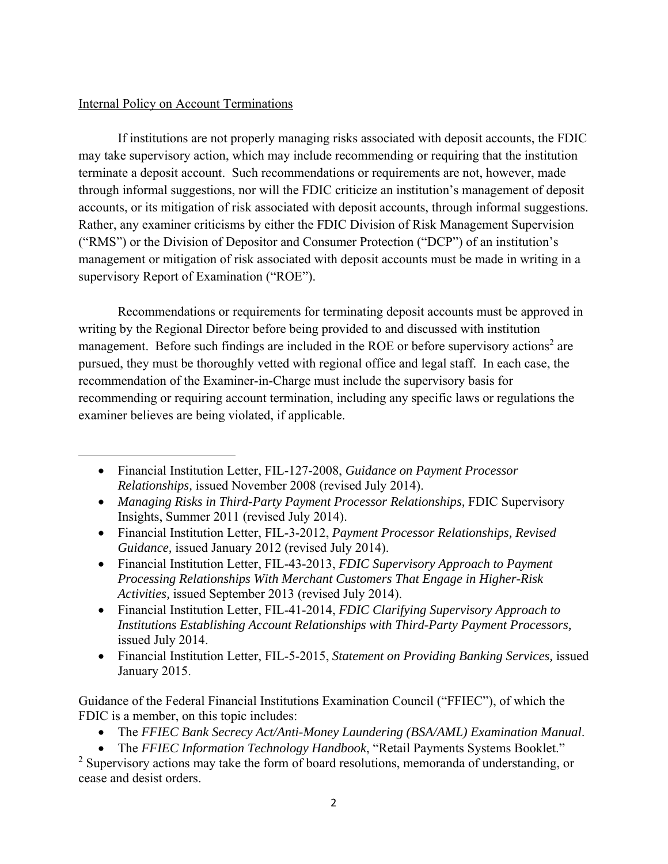# Internal Policy on Account Terminations

If institutions are not properly managing risks associated with deposit accounts, the FDIC may take supervisory action, which may include recommending or requiring that the institution terminate a deposit account. Such recommendations or requirements are not, however, made through informal suggestions, nor will the FDIC criticize an institution's management of deposit accounts, or its mitigation of risk associated with deposit accounts, through informal suggestions. Rather, any examiner criticisms by either the FDIC Division of Risk Management Supervision ("RMS") or the Division of Depositor and Consumer Protection ("DCP") of an institution's management or mitigation of risk associated with deposit accounts must be made in writing in a supervisory Report of Examination ("ROE").

Recommendations or requirements for terminating deposit accounts must be approved in writing by the Regional Director before being provided to and discussed with institution management. Before such findings are included in the ROE or before supervisory actions<sup>2</sup> are pursued, they must be thoroughly vetted with regional office and legal staff. In each case, the recommendation of the Examiner-in-Charge must include the supervisory basis for recommending or requiring account termination, including any specific laws or regulations the examiner believes are being violated, if applicable.

- Financial Institution Letter, FIL-127-2008, *Guidance on Payment Processor Relationships,* issued November 2008 (revised July 2014).
- Managing Risks in Third-Party Payment Processor Relationships, FDIC Supervisory Insights, Summer 2011 (revised July 2014).
- Financial Institution Letter, FIL-3-2012, *Payment Processor Relationships, Revised Guidance,* issued January 2012 (revised July 2014).
- Financial Institution Letter, FIL-43-2013, *FDIC Supervisory Approach to Payment Processing Relationships With Merchant Customers That Engage in Higher-Risk Activities,* issued September 2013 (revised July 2014).
- Financial Institution Letter, FIL-41-2014, *FDIC Clarifying Supervisory Approach to Institutions Establishing Account Relationships with Third-Party Payment Processors,* issued July 2014.
- Financial Institution Letter, FIL-5-2015, *Statement on Providing Banking Services,* issued January 2015.

Guidance of the Federal Financial Institutions Examination Council ("FFIEC"), of which the FDIC is a member, on this topic includes:

- The *FFIEC Bank Secrecy Act/Anti-Money Laundering (BSA/AML) Examination Manual*.
- The *FFIEC Information Technology Handbook*, "Retail Payments Systems Booklet."

 $2$  Supervisory actions may take the form of board resolutions, memoranda of understanding, or cease and desist orders.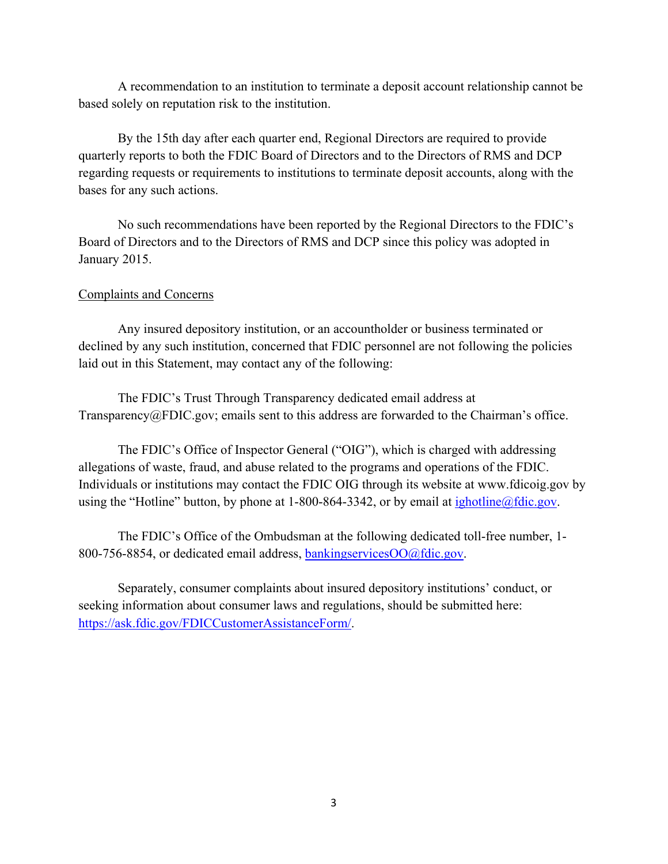A recommendation to an institution to terminate a deposit account relationship cannot be based solely on reputation risk to the institution.

By the 15th day after each quarter end, Regional Directors are required to provide quarterly reports to both the FDIC Board of Directors and to the Directors of RMS and DCP regarding requests or requirements to institutions to terminate deposit accounts, along with the bases for any such actions.

 No such recommendations have been reported by the Regional Directors to the FDIC's Board of Directors and to the Directors of RMS and DCP since this policy was adopted in January 2015.

### Complaints and Concerns

Any insured depository institution, or an accountholder or business terminated or declined by any such institution, concerned that FDIC personnel are not following the policies laid out in this Statement, may contact any of the following:

The FDIC's Trust Through Transparency dedicated email address at Transparency@FDIC.gov; emails sent to this address are forwarded to the Chairman's office.

The FDIC's Office of Inspector General ("OIG"), which is charged with addressing allegations of waste, fraud, and abuse related to the programs and operations of the FDIC. Individuals or institutions may contact the FDIC OIG through its website at www.fdicoig.gov by using the "Hotline" button, by phone at 1-800-864-3342, or by email at  $\frac{i \text{ghotline}(\partial x)}{i \text{ghotline}(\partial y)}$ .

The FDIC's Office of the Ombudsman at the following dedicated toll-free number, 1- 800-756-8854, or dedicated email address, bankingservicesOO@fdic.gov.

Separately, consumer complaints about insured depository institutions' conduct, or seeking information about consumer laws and regulations, should be submitted here: https://ask.fdic.gov/FDICCustomerAssistanceForm/.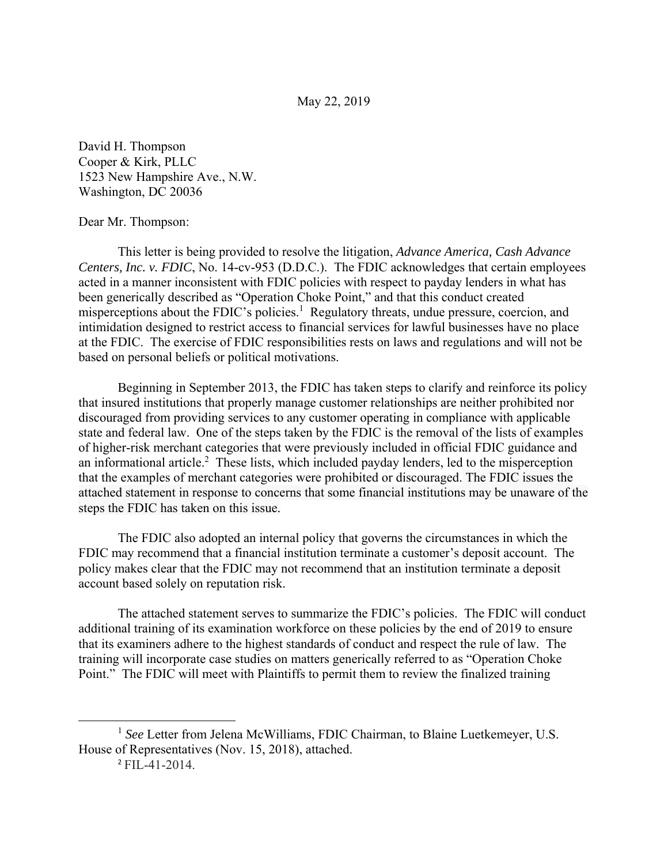May 22, 2019

David H. Thompson Cooper & Kirk, PLLC 1523 New Hampshire Ave., N.W. Washington, DC 20036

# Dear Mr. Thompson:

 This letter is being provided to resolve the litigation, *Advance America, Cash Advance Centers, Inc. v. FDIC*, No. 14-cv-953 (D.D.C.). The FDIC acknowledges that certain employees acted in a manner inconsistent with FDIC policies with respect to payday lenders in what has been generically described as "Operation Choke Point," and that this conduct created misperceptions about the FDIC's policies.<sup>1</sup> Regulatory threats, undue pressure, coercion, and intimidation designed to restrict access to financial services for lawful businesses have no place at the FDIC. The exercise of FDIC responsibilities rests on laws and regulations and will not be based on personal beliefs or political motivations.

Beginning in September 2013, the FDIC has taken steps to clarify and reinforce its policy that insured institutions that properly manage customer relationships are neither prohibited nor discouraged from providing services to any customer operating in compliance with applicable state and federal law. One of the steps taken by the FDIC is the removal of the lists of examples of higher-risk merchant categories that were previously included in official FDIC guidance and an informational article.<sup>2</sup> These lists, which included payday lenders, led to the misperception that the examples of merchant categories were prohibited or discouraged. The FDIC issues the attached statement in response to concerns that some financial institutions may be unaware of the steps the FDIC has taken on this issue.

The FDIC also adopted an internal policy that governs the circumstances in which the FDIC may recommend that a financial institution terminate a customer's deposit account. The policy makes clear that the FDIC may not recommend that an institution terminate a deposit account based solely on reputation risk.

The attached statement serves to summarize the FDIC's policies. The FDIC will conduct additional training of its examination workforce on these policies by the end of 2019 to ensure that its examiners adhere to the highest standards of conduct and respect the rule of law. The training will incorporate case studies on matters generically referred to as "Operation Choke Point." The FDIC will meet with Plaintiffs to permit them to review the finalized training

<sup>&</sup>lt;sup>1</sup> See Letter from Jelena McWilliams, FDIC Chairman, to Blaine Luetkemeyer, U.S. House of Representatives (Nov. 15, 2018), attached.

<sup>2</sup> FIL-41-2014.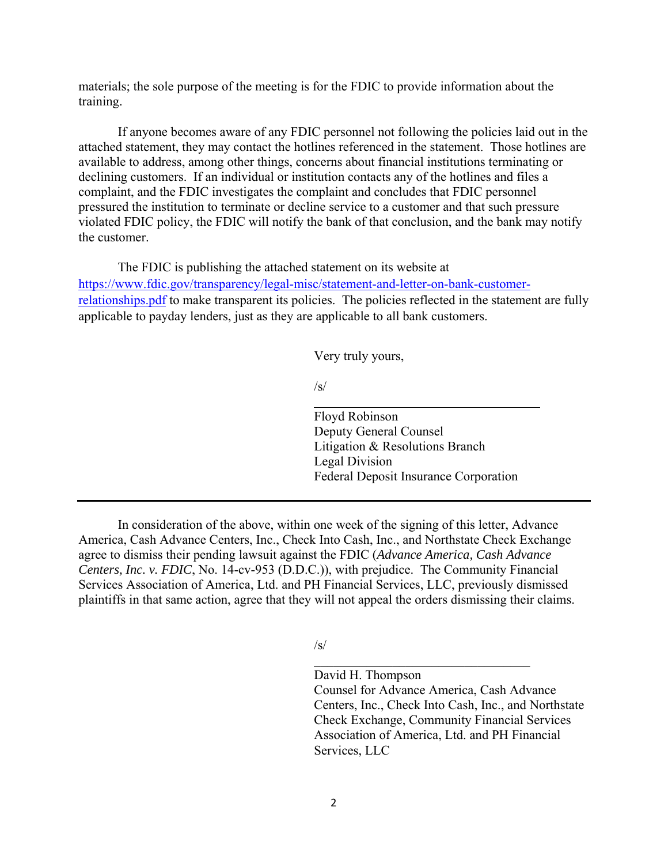materials; the sole purpose of the meeting is for the FDIC to provide information about the training.

If anyone becomes aware of any FDIC personnel not following the policies laid out in the attached statement, they may contact the hotlines referenced in the statement. Those hotlines are available to address, among other things, concerns about financial institutions terminating or declining customers. If an individual or institution contacts any of the hotlines and files a complaint, and the FDIC investigates the complaint and concludes that FDIC personnel pressured the institution to terminate or decline service to a customer and that such pressure violated FDIC policy, the FDIC will notify the bank of that conclusion, and the bank may notify the customer.

The FDIC is publishing the attached statement on its website at https://www.fdic.gov/transparency/legal-misc/statement-and-letter-on-bank-customerrelationships.pdf to make transparent its policies. The policies reflected in the statement are fully applicable to payday lenders, just as they are applicable to all bank customers.

Very truly yours,

 $\sqrt{s}$ /

 Floyd Robinson Deputy General Counsel Litigation & Resolutions Branch Legal Division Federal Deposit Insurance Corporation

In consideration of the above, within one week of the signing of this letter, Advance America, Cash Advance Centers, Inc., Check Into Cash, Inc., and Northstate Check Exchange agree to dismiss their pending lawsuit against the FDIC (*Advance America, Cash Advance Centers, Inc. v. FDIC*, No. 14-cv-953 (D.D.C.)), with prejudice. The Community Financial Services Association of America, Ltd. and PH Financial Services, LLC, previously dismissed plaintiffs in that same action, agree that they will not appeal the orders dismissing their claims.

 $\sqrt{s}$ /

 David H. Thompson Counsel for Advance America, Cash Advance Centers, Inc., Check Into Cash, Inc., and Northstate Check Exchange, Community Financial Services Association of America, Ltd. and PH Financial Services, LLC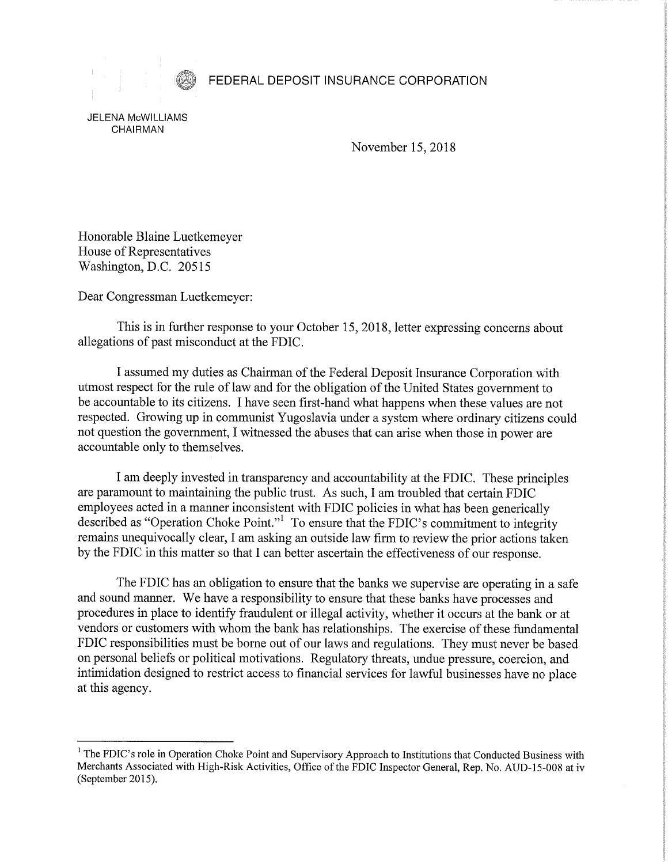FEDERAL DEPOSIT INSURANCE CORPORATION

JELENA McWILLIAMS CHAIRMAN

November 15, 2018

Honorable Blaine Luetkemeyer House of Representatives Washington, D.C. 20515

Dear Congressman Luetkemeyer:

This is in further response to your October 15, 2018, letter expressing concerns about allegations of past misconduct at the FDIC.

I assumed my duties as Chairman of the Federal Deposit Insurance Corporation with utmost respect for the rule of law and for the obligation of the United States government to be accountable to its citizens. I have seen first-hand what happens when these values are not respected. Growing up in communist Yugoslavia under a system where ordinary citizens could not question the government, I witnessed the abuses that can arise when those in power are accountable only to themselves.

I am deeply invested in transparency and accountability at the FDIC. These principles are paramount to maintaining the public trust. As such, I am troubled that certain FDIC employees acted in a manner inconsistent with FDIC policies in what has been generically described as "Operation Choke Point."1 To ensure that the FDIC's commitment to integrity remains unequivocally clear, I am asking an outside law firm to review the prior actions taken by the FDIC in this matter so that I can better ascertain the effectiveness of our response.

The FDIC has an obligation to ensure that the banks we supervise are operating in a safe and sound manner. We have a responsibility to ensure that these banks have processes and procedures in place to identify fraudulent or illegal activity, whether it occurs at the bank or at vendors or customers with whom the bank has relationships. The exercise of these fundamental FDIC responsibilities must be borne out of our laws and regulations. They must never be based on personal beliefs or political motivations. Regulatory threats, undue pressure, coercion, and intimidation designed to restrict access to financial services for lawful businesses have no place at this agency.

 $<sup>1</sup>$  The FDIC's role in Operation Choke Point and Supervisory Approach to Institutions that Conducted Business with</sup> Merchants Associated with High-Risk Activities, Office of the FDIC Inspector General, Rep. No. AUD-15-008 at iv (September 2015).